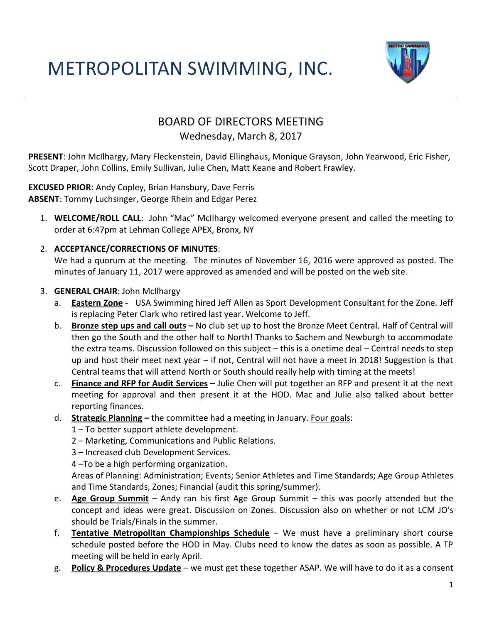# METROPOLITAN SWIMMING, INC.



## BOARD OF DIRECTORS MEETING

### Wednesday, March 8, 2017

**PRESENT**: John McIlhargy, Mary Fleckenstein, David Ellinghaus, Monique Grayson, John Yearwood, Eric Fisher, Scott Draper, John Collins, Emily Sullivan, Julie Chen, Matt Keane and Robert Frawley.

**EXCUSED PRIOR:** Andy Copley, Brian Hansbury, Dave Ferris **ABSENT**: Tommy Luchsinger, George Rhein and Edgar Perez

1. **WELCOME/ROLL CALL**: John "Mac" McIlhargy welcomed everyone present and called the meeting to order at 6:47pm at Lehman College APEX, Bronx, NY

#### 2. **ACCEPTANCE/CORRECTIONS OF MINUTES**:

We had a quorum at the meeting. The minutes of November 16, 2016 were approved as posted. The minutes of January 11, 2017 were approved as amended and will be posted on the web site.

#### 3. **GENERAL CHAIR**: John McIlhargy

- a. **Eastern Zone** USA Swimming hired Jeff Allen as Sport Development Consultant for the Zone. Jeff is replacing Peter Clark who retired last year. Welcome to Jeff.
- b. **Bronze step ups and call outs –** No club set up to host the Bronze Meet Central. Half of Central will then go the South and the other half to North! Thanks to Sachem and Newburgh to accommodate the extra teams. Discussion followed on this subject – this is a onetime deal – Central needs to step up and host their meet next year – if not, Central will not have a meet in 2018! Suggestion is that Central teams that will attend North or South should really help with timing at the meets!
- c. **Finance and RFP for Audit Services –** Julie Chen will put together an RFP and present it at the next meeting for approval and then present it at the HOD. Mac and Julie also talked about better reporting finances.
- d. **Strategic Planning –** the committee had a meeting in January. Four goals:
	- 1 To better support athlete development.
	- 2 Marketing, Communications and Public Relations.
	- 3 Increased club Development Services.
	- 4 –To be a high performing organization.

Areas of Planning: Administration; Events; Senior Athletes and Time Standards; Age Group Athletes and Time Standards, Zones; Financial (audit this spring/summer).

- e. **Age Group Summit** Andy ran his first Age Group Summit this was poorly attended but the concept and ideas were great. Discussion on Zones. Discussion also on whether or not LCM JO's should be Trials/Finals in the summer.
- f. **Tentative Metropolitan Championships Schedule** We must have a preliminary short course schedule posted before the HOD in May. Clubs need to know the dates as soon as possible. A TP meeting will be held in early April.
- g. **Policy & Procedures Update** we must get these together ASAP. We will have to do it as a consent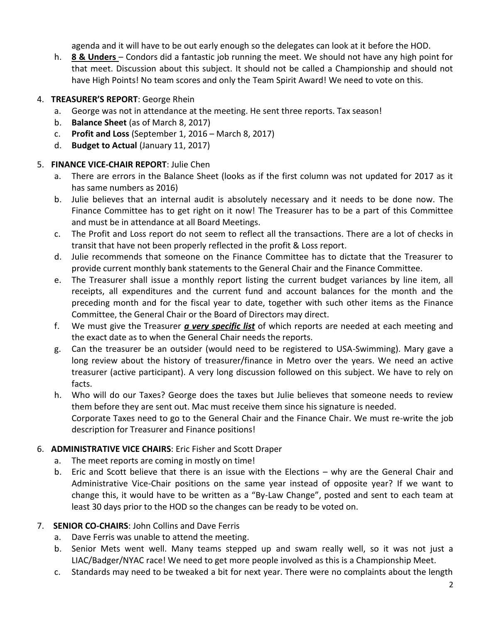agenda and it will have to be out early enough so the delegates can look at it before the HOD.

h. **8 & Unders** – Condors did a fantastic job running the meet. We should not have any high point for that meet. Discussion about this subject. It should not be called a Championship and should not have High Points! No team scores and only the Team Spirit Award! We need to vote on this.

#### 4. **TREASURER'S REPORT**: George Rhein

- a. George was not in attendance at the meeting. He sent three reports. Tax season!
- b. **Balance Sheet** (as of March 8, 2017)
- c. **Profit and Loss** (September 1, 2016 March 8, 2017)
- d. **Budget to Actual** (January 11, 2017)

#### 5. **FINANCE VICE-CHAIR REPORT**: Julie Chen

- a. There are errors in the Balance Sheet (looks as if the first column was not updated for 2017 as it has same numbers as 2016)
- b. Julie believes that an internal audit is absolutely necessary and it needs to be done now. The Finance Committee has to get right on it now! The Treasurer has to be a part of this Committee and must be in attendance at all Board Meetings.
- c. The Profit and Loss report do not seem to reflect all the transactions. There are a lot of checks in transit that have not been properly reflected in the profit & Loss report.
- d. Julie recommends that someone on the Finance Committee has to dictate that the Treasurer to provide current monthly bank statements to the General Chair and the Finance Committee.
- e. The Treasurer shall issue a monthly report listing the current budget variances by line item, all receipts, all expenditures and the current fund and account balances for the month and the preceding month and for the fiscal year to date, together with such other items as the Finance Committee, the General Chair or the Board of Directors may direct.
- f. We must give the Treasurer *a very specific list* of which reports are needed at each meeting and the exact date as to when the General Chair needs the reports.
- g. Can the treasurer be an outsider (would need to be registered to USA-Swimming). Mary gave a long review about the history of treasurer/finance in Metro over the years. We need an active treasurer (active participant). A very long discussion followed on this subject. We have to rely on facts.
- h. Who will do our Taxes? George does the taxes but Julie believes that someone needs to review them before they are sent out. Mac must receive them since his signature is needed. Corporate Taxes need to go to the General Chair and the Finance Chair. We must re-write the job description for Treasurer and Finance positions!

#### 6. **ADMINISTRATIVE VICE CHAIRS**: Eric Fisher and Scott Draper

- a. The meet reports are coming in mostly on time!
- b. Eric and Scott believe that there is an issue with the Elections why are the General Chair and Administrative Vice-Chair positions on the same year instead of opposite year? If we want to change this, it would have to be written as a "By-Law Change", posted and sent to each team at least 30 days prior to the HOD so the changes can be ready to be voted on.

#### 7. **SENIOR CO-CHAIRS**: John Collins and Dave Ferris

- a. Dave Ferris was unable to attend the meeting.
- b. Senior Mets went well. Many teams stepped up and swam really well, so it was not just a LIAC/Badger/NYAC race! We need to get more people involved as this is a Championship Meet.
- c. Standards may need to be tweaked a bit for next year. There were no complaints about the length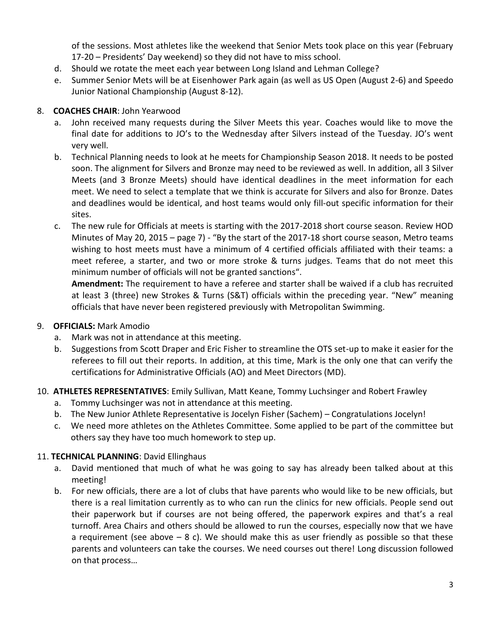of the sessions. Most athletes like the weekend that Senior Mets took place on this year (February 17-20 – Presidents' Day weekend) so they did not have to miss school.

- d. Should we rotate the meet each year between Long Island and Lehman College?
- e. Summer Senior Mets will be at Eisenhower Park again (as well as US Open (August 2-6) and Speedo Junior National Championship (August 8-12).

#### 8. **COACHES CHAIR**: John Yearwood

- a. John received many requests during the Silver Meets this year. Coaches would like to move the final date for additions to JO's to the Wednesday after Silvers instead of the Tuesday. JO's went very well.
- b. Technical Planning needs to look at he meets for Championship Season 2018. It needs to be posted soon. The alignment for Silvers and Bronze may need to be reviewed as well. In addition, all 3 Silver Meets (and 3 Bronze Meets) should have identical deadlines in the meet information for each meet. We need to select a template that we think is accurate for Silvers and also for Bronze. Dates and deadlines would be identical, and host teams would only fill-out specific information for their sites.
- c. The new rule for Officials at meets is starting with the 2017-2018 short course season. Review HOD Minutes of May 20, 2015 – page 7) - "By the start of the 2017-18 short course season, Metro teams wishing to host meets must have a minimum of 4 certified officials affiliated with their teams: a meet referee, a starter, and two or more stroke & turns judges. Teams that do not meet this minimum number of officials will not be granted sanctions".

**Amendment:** The requirement to have a referee and starter shall be waived if a club has recruited at least 3 (three) new Strokes & Turns (S&T) officials within the preceding year. "New" meaning officials that have never been registered previously with Metropolitan Swimming.

#### 9. **OFFICIALS:** Mark Amodio

- a. Mark was not in attendance at this meeting.
- b. Suggestions from Scott Draper and Eric Fisher to streamline the OTS set-up to make it easier for the referees to fill out their reports. In addition, at this time, Mark is the only one that can verify the certifications for Administrative Officials (AO) and Meet Directors (MD).
- 10. **ATHLETES REPRESENTATIVES**: Emily Sullivan, Matt Keane, Tommy Luchsinger and Robert Frawley
	- a. Tommy Luchsinger was not in attendance at this meeting.
	- b. The New Junior Athlete Representative is Jocelyn Fisher (Sachem) Congratulations Jocelyn!
	- c. We need more athletes on the Athletes Committee. Some applied to be part of the committee but others say they have too much homework to step up.

#### 11. **TECHNICAL PLANNING**: David Ellinghaus

- a. David mentioned that much of what he was going to say has already been talked about at this meeting!
- b. For new officials, there are a lot of clubs that have parents who would like to be new officials, but there is a real limitation currently as to who can run the clinics for new officials. People send out their paperwork but if courses are not being offered, the paperwork expires and that's a real turnoff. Area Chairs and others should be allowed to run the courses, especially now that we have a requirement (see above  $-8$  c). We should make this as user friendly as possible so that these parents and volunteers can take the courses. We need courses out there! Long discussion followed on that process…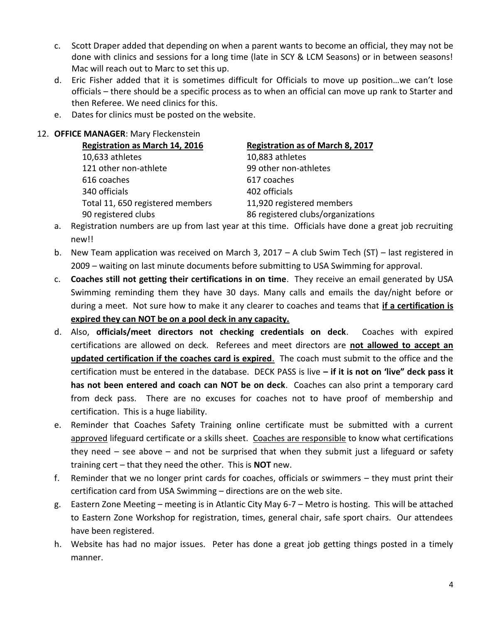- c. Scott Draper added that depending on when a parent wants to become an official, they may not be done with clinics and sessions for a long time (late in SCY & LCM Seasons) or in between seasons! Mac will reach out to Marc to set this up.
- d. Eric Fisher added that it is sometimes difficult for Officials to move up position…we can't lose officials – there should be a specific process as to when an official can move up rank to Starter and then Referee. We need clinics for this.
- e. Dates for clinics must be posted on the website.

#### 12. **OFFICE MANAGER**: Mary Fleckenstein

| <b>Registration as March 14, 2016</b> | <b>Registration as of March 8, 2017</b> |
|---------------------------------------|-----------------------------------------|
| 10,633 athletes                       | 10,883 athletes                         |
| 121 other non-athlete                 | 99 other non-athletes                   |
| 616 coaches                           | 617 coaches                             |
| 340 officials                         | 402 officials                           |
| Total 11, 650 registered members      | 11,920 registered members               |
| 90 registered clubs                   | 86 registered clubs/organizations       |

- a. Registration numbers are up from last year at this time. Officials have done a great job recruiting new!!
- b. New Team application was received on March 3, 2017 A club Swim Tech (ST) last registered in 2009 – waiting on last minute documents before submitting to USA Swimming for approval.
- c. **Coaches still not getting their certifications in on time**. They receive an email generated by USA Swimming reminding them they have 30 days. Many calls and emails the day/night before or during a meet. Not sure how to make it any clearer to coaches and teams that **if a certification is expired they can NOT be on a pool deck in any capacity.**
- d. Also, **officials/meet directors not checking credentials on deck**. Coaches with expired certifications are allowed on deck. Referees and meet directors are **not allowed to accept an updated certification if the coaches card is expired**. The coach must submit to the office and the certification must be entered in the database. DECK PASS is live **– if it is not on 'live" deck pass it has not been entered and coach can NOT be on deck**. Coaches can also print a temporary card from deck pass. There are no excuses for coaches not to have proof of membership and certification. This is a huge liability.
- e. Reminder that Coaches Safety Training online certificate must be submitted with a current approved lifeguard certificate or a skills sheet. Coaches are responsible to know what certifications they need – see above – and not be surprised that when they submit just a lifeguard or safety training cert – that they need the other. This is **NOT** new.
- f. Reminder that we no longer print cards for coaches, officials or swimmers they must print their certification card from USA Swimming – directions are on the web site.
- g. Eastern Zone Meeting meeting is in Atlantic City May 6-7 Metro is hosting. This will be attached to Eastern Zone Workshop for registration, times, general chair, safe sport chairs. Our attendees have been registered.
- h. Website has had no major issues. Peter has done a great job getting things posted in a timely manner.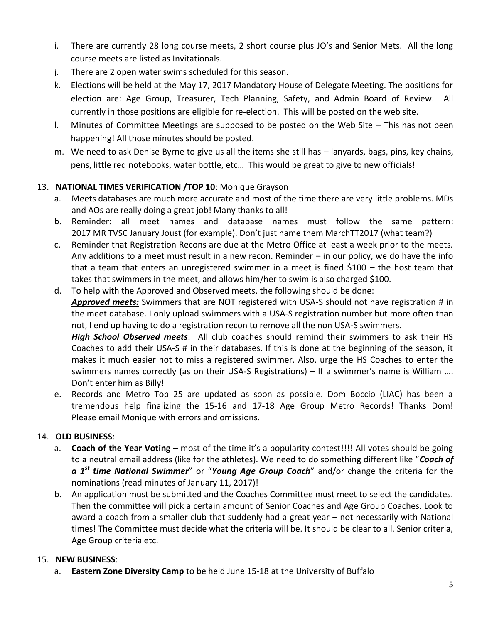- i. There are currently 28 long course meets, 2 short course plus JO's and Senior Mets. All the long course meets are listed as Invitationals.
- j. There are 2 open water swims scheduled for this season.
- k. Elections will be held at the May 17, 2017 Mandatory House of Delegate Meeting. The positions for election are: Age Group, Treasurer, Tech Planning, Safety, and Admin Board of Review. All currently in those positions are eligible for re-election. This will be posted on the web site.
- l. Minutes of Committee Meetings are supposed to be posted on the Web Site This has not been happening! All those minutes should be posted.
- m. We need to ask Denise Byrne to give us all the items she still has lanyards, bags, pins, key chains, pens, little red notebooks, water bottle, etc… This would be great to give to new officials!

#### 13. **NATIONAL TIMES VERIFICATION /TOP 10**: Monique Grayson

- a. Meets databases are much more accurate and most of the time there are very little problems. MDs and AOs are really doing a great job! Many thanks to all!
- b. Reminder: all meet names and database names must follow the same pattern: 2017 MR TVSC January Joust (for example). Don't just name them MarchTT2017 (what team?)
- c. Reminder that Registration Recons are due at the Metro Office at least a week prior to the meets. Any additions to a meet must result in a new recon. Reminder – in our policy, we do have the info that a team that enters an unregistered swimmer in a meet is fined \$100 – the host team that takes that swimmers in the meet, and allows him/her to swim is also charged \$100.
- d. To help with the Approved and Observed meets, the following should be done: *Approved meets:* Swimmers that are NOT registered with USA-S should not have registration # in the meet database. I only upload swimmers with a USA-S registration number but more often than not, I end up having to do a registration recon to remove all the non USA-S swimmers.

*High School Observed meets*: All club coaches should remind their swimmers to ask their HS Coaches to add their USA-S # in their databases. If this is done at the beginning of the season, it makes it much easier not to miss a registered swimmer. Also, urge the HS Coaches to enter the swimmers names correctly (as on their USA-S Registrations) – If a swimmer's name is William …. Don't enter him as Billy!

e. Records and Metro Top 25 are updated as soon as possible. Dom Boccio (LIAC) has been a tremendous help finalizing the 15-16 and 17-18 Age Group Metro Records! Thanks Dom! Please email Monique with errors and omissions.

#### 14. **OLD BUSINESS**:

- a. **Coach of the Year Voting** most of the time it's a popularity contest!!!! All votes should be going to a neutral email address (like for the athletes). We need to do something different like "*Coach of a 1st time National Swimmer*" or "*Young Age Group Coach*" and/or change the criteria for the nominations (read minutes of January 11, 2017)!
- b. An application must be submitted and the Coaches Committee must meet to select the candidates. Then the committee will pick a certain amount of Senior Coaches and Age Group Coaches. Look to award a coach from a smaller club that suddenly had a great year – not necessarily with National times! The Committee must decide what the criteria will be. It should be clear to all. Senior criteria, Age Group criteria etc.

#### 15. **NEW BUSINESS**:

a. **Eastern Zone Diversity Camp** to be held June 15-18 at the University of Buffalo